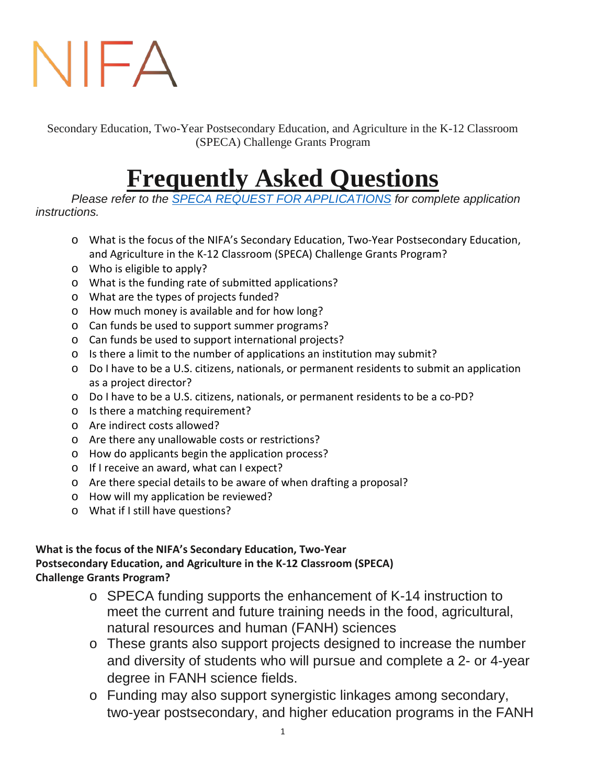# NIFA

Secondary Education, Two-Year Postsecondary Education, and Agriculture in the K-12 Classroom (SPECA) Challenge Grants Program

# **Frequently Asked Questions**

*Please refer to the [SPECA REQUEST FOR APPLICATIONS](https://nifa.usda.gov/funding-opportunity/secondary-education-two-year-postsecondary-education-and-agriculture-k-12) for complete application instructions.*

- o What is the focus of the NIFA's Secondary Education, Two-Year Postsecondary Education, and Agriculture in the K-12 Classroom (SPECA) Challenge Grants Program?
- o Who is eligible to apply?
- o What is the funding rate of submitted applications?
- o What are the types of projects funded?
- o How much money is available and for how long?
- o Can funds be used to support summer programs?
- o Can funds be used to support international projects?
- o Is there a limit to the number of applications an institution may submit?
- o Do I have to be a U.S. citizens, nationals, or permanent residents to submit an application as a project director?
- o Do I have to be a U.S. citizens, nationals, or permanent residents to be a co-PD?
- o Is there a matching requirement?
- o Are indirect costs allowed?
- o Are there any unallowable costs or restrictions?
- o How do applicants begin the application process?
- o If I receive an award, what can I expect?
- o Are there special details to be aware of when drafting a proposal?
- o How will my application be reviewed?
- <sup>o</sup> What if I still have questions?

#### **What is the focus of the NIFA's Secondary Education, Two-Year Postsecondary Education, and Agriculture in the K-12 Classroom (SPECA) Challenge Grants Program?**

- o SPECA funding supports the enhancement of K-14 instruction to meet the current and future training needs in the food, agricultural, natural resources and human (FANH) sciences
- o These grants also support projects designed to increase the number and diversity of students who will pursue and complete a 2- or 4-year degree in FANH science fields.
- o Funding may also support synergistic linkages among secondary, two-year postsecondary, and higher education programs in the FANH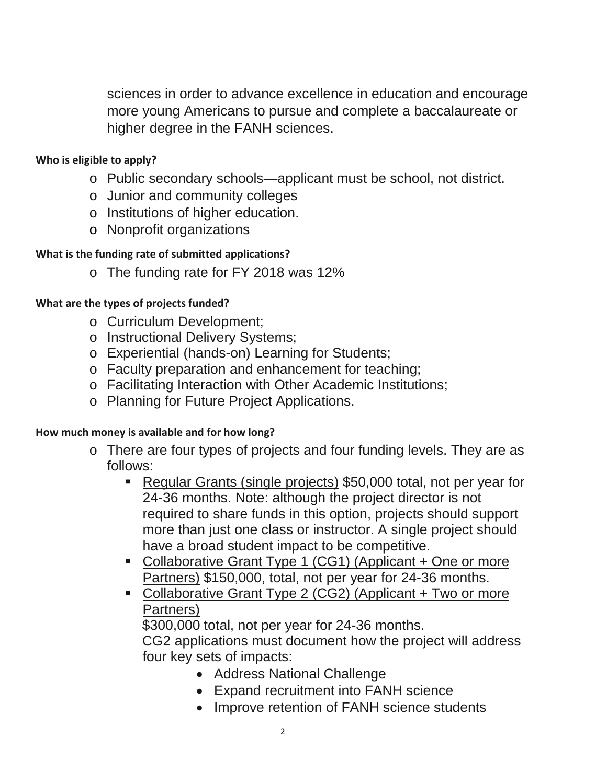sciences in order to advance excellence in education and encourage more young Americans to pursue and complete a baccalaureate or higher degree in the FANH sciences.

### **Who is eligible to apply?**

- o Public secondary schools—applicant must be school, not district.
- o Junior and community colleges
- o Institutions of higher education.
- o Nonprofit organizations

# **What is the funding rate of submitted applications?**

o The funding rate for FY 2018 was 12%

#### **What are the types of projects funded?**

- o Curriculum Development;
- o Instructional Delivery Systems;
- o Experiential (hands-on) Learning for Students;
- o Faculty preparation and enhancement for teaching;
- o Facilitating Interaction with Other Academic Institutions;
- o Planning for Future Project Applications.

#### **How much money is available and for how long?**

- o There are four types of projects and four funding levels. They are as follows:
	- Regular Grants (single projects) \$50,000 total, not per year for 24-36 months. Note: although the project director is not required to share funds in this option, projects should support more than just one class or instructor. A single project should have a broad student impact to be competitive.
	- Collaborative Grant Type 1 (CG1) (Applicant + One or more Partners) \$150,000, total, not per year for 24-36 months.
	- Collaborative Grant Type 2 (CG2) (Applicant + Two or more Partners)

\$300,000 total, not per year for 24-36 months.

CG2 applications must document how the project will address four key sets of impacts:

- Address National Challenge
- Expand recruitment into FANH science
- Improve retention of FANH science students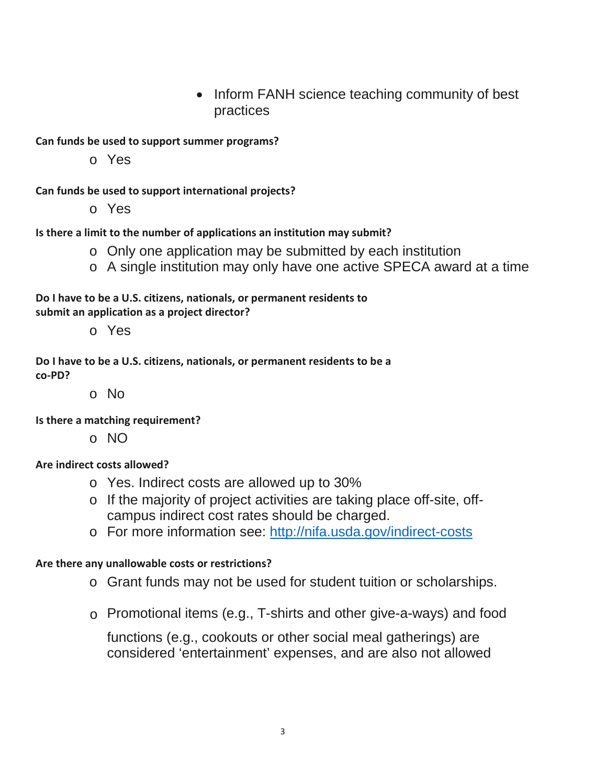• Inform FANH science teaching community of best practices

**Can funds be used to support summer programs?**

o Yes

**Can funds be used to support international projects?**

o Yes

**Is there a limit to the number of applications an institution may submit?**

- o Only one application may be submitted by each institution
- o A single institution may only have one active SPECA award at a time

**Do I have to be a U.S. citizens, nationals, or permanent residents to submit an application as a project director?**

o Yes

**Do I have to be a U.S. citizens, nationals, or permanent residents to be a co-PD?**

o No

**Is there a matching requirement?**

o NO

# **Are indirect costs allowed?**

- o Yes. Indirect costs are allowed up to 30%
- o If the majority of project activities are taking place off-site, offcampus indirect cost rates should be charged.
- o For more information see:<http://nifa.usda.gov/indirect-costs>

#### **Are there any unallowable costs or restrictions?**

- o Grant funds may not be used for student tuition or scholarships.
- o Promotional items (e.g., T-shirts and other give-a-ways) and food

functions (e.g., cookouts or other social meal gatherings) are considered 'entertainment' expenses, and are also not allowed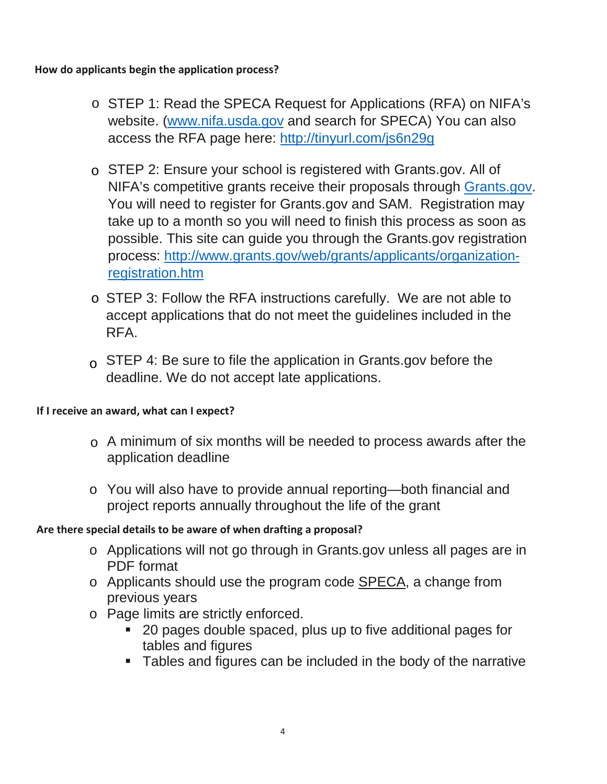**How do applicants begin the application process?** 

- o STEP 1: Read the SPECA Request for Applications (RFA) on NIFA's website. (www.nifa.usda.gov and search for SPECA) You can also access the RFA page here: http://tinyurl.com/js6n29g
- o STEP 2: Ensure your school is registered with Grants.gov. All of NIFA's c[ompetitive grants rec](http://www.nifa.usda.gov/)eive their proposals through Grants.gov. You will need to register for [Grants.gov and SAM. Re](http://tinyurl.com/js6n29g)gistration may take up to a month so you will need to finish this process as soon as possible. This site can guide you through the Grants.gov registration process: http://www.grants.gov/web/grants/applicants/organizationregistration.htm
- o STEP 3: Follow the RFA instructions carefully. We are not able to accept a[pplications that do not meet the guidelines included in the](http://www.grants.gov/web/grants/applicants/organization-registration.htm) [RFA.](http://www.grants.gov/web/grants/applicants/organization-registration.htm)
- $\circ$  STEP 4: Be sure to file the application in Grants.gov before the deadline. We do not accept late applications.

# **If I receive an award, what can I expect?**

- $\circ$  A minimum of six months will be needed to process awards after the application deadline
- o You will also have to provide annual reporting—both financial and project reports annually throughout the life of the grant

# **Are there special details to be aware of when drafting a proposal?**

- o Applications will not go through in Grants.gov unless all pages are in PDF format
- o Applicants should use the program code SPECA, a change from previous years
- o Page limits are strictly enforced.
	- 20 pages double spaced, plus up to five additional pages for tables and figures
	- Tables and figures can be included in the body of the narrative